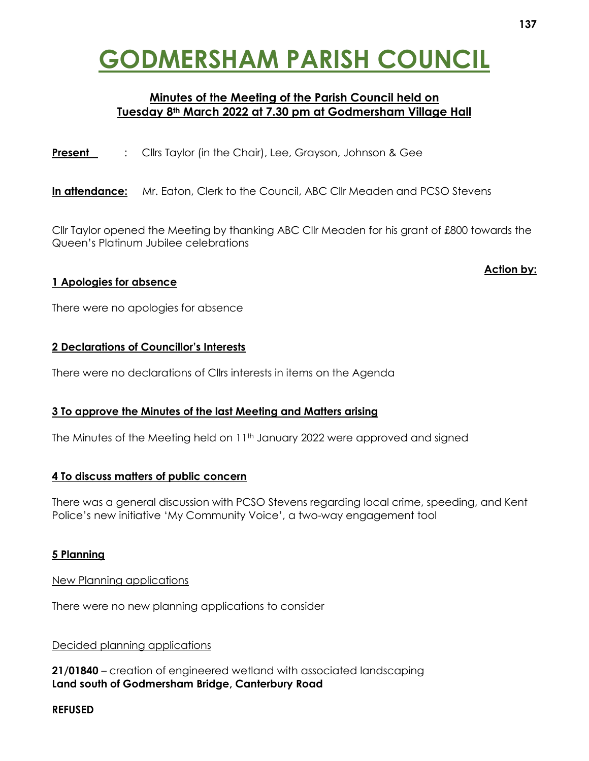# **GODMERSHAM PARISH COUNCIL**

# **Minutes of the Meeting of the Parish Council held on Tuesday 8th March 2022 at 7.30 pm at Godmersham Village Hall**

**Present** : Cllrs Taylor (in the Chair), Lee, Grayson, Johnson & Gee

In attendance: Mr. Eaton, Clerk to the Council, ABC Cllr Meaden and PCSO Stevens

Cllr Taylor opened the Meeting by thanking ABC Cllr Meaden for his grant of £800 towards the Queen's Platinum Jubilee celebrations

# **1 Apologies for absence**

**Action by:**

There were no apologies for absence

# **2 Declarations of Councillor's Interests**

There were no declarations of Cllrs interests in items on the Agenda

# **3 To approve the Minutes of the last Meeting and Matters arising**

The Minutes of the Meeting held on 11<sup>th</sup> January 2022 were approved and signed

# **4 To discuss matters of public concern**

There was a general discussion with PCSO Stevens regarding local crime, speeding, and Kent Police's new initiative 'My Community Voice', a two-way engagement tool

# **5 Planning**

#### New Planning applications

There were no new planning applications to consider

# Decided planning applications

**21/01840** – creation of engineered wetland with associated landscaping **Land south of Godmersham Bridge, Canterbury Road**

# **REFUSED**